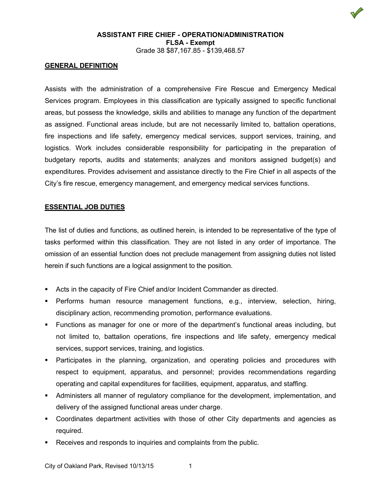

## **GENERAL DEFINITION**

Assists with the administration of a comprehensive Fire Rescue and Emergency Medical Services program. Employees in this classification are typically assigned to specific functional areas, but possess the knowledge, skills and abilities to manage any function of the department as assigned. Functional areas include, but are not necessarily limited to, battalion operations, fire inspections and life safety, emergency medical services, support services, training, and logistics. Work includes considerable responsibility for participating in the preparation of budgetary reports, audits and statements; analyzes and monitors assigned budget(s) and expenditures. Provides advisement and assistance directly to the Fire Chief in all aspects of the City's fire rescue, emergency management, and emergency medical services functions.

## **ESSENTIAL JOB DUTIES**

The list of duties and functions, as outlined herein, is intended to be representative of the type of tasks performed within this classification. They are not listed in any order of importance. The omission of an essential function does not preclude management from assigning duties not listed herein if such functions are a logical assignment to the position.

- Acts in the capacity of Fire Chief and/or Incident Commander as directed.
- Performs human resource management functions, e.g., interview, selection, hiring, disciplinary action, recommending promotion, performance evaluations.
- Functions as manager for one or more of the department's functional areas including, but not limited to, battalion operations, fire inspections and life safety, emergency medical services, support services, training, and logistics.
- Participates in the planning, organization, and operating policies and procedures with respect to equipment, apparatus, and personnel; provides recommendations regarding operating and capital expenditures for facilities, equipment, apparatus, and staffing.
- Administers all manner of regulatory compliance for the development, implementation, and delivery of the assigned functional areas under charge.
- Coordinates department activities with those of other City departments and agencies as required.
- Receives and responds to inquiries and complaints from the public.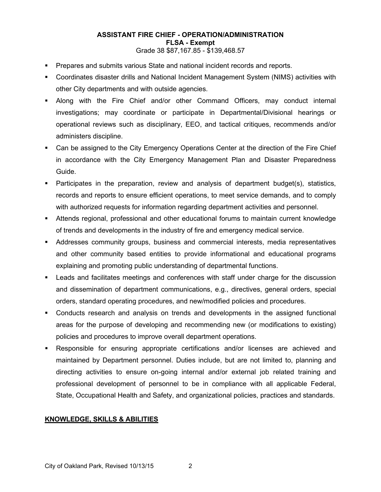- Prepares and submits various State and national incident records and reports.
- Coordinates disaster drills and National Incident Management System (NIMS) activities with other City departments and with outside agencies.
- Along with the Fire Chief and/or other Command Officers, may conduct internal investigations; may coordinate or participate in Departmental/Divisional hearings or operational reviews such as disciplinary, EEO, and tactical critiques, recommends and/or administers discipline.
- Can be assigned to the City Emergency Operations Center at the direction of the Fire Chief in accordance with the City Emergency Management Plan and Disaster Preparedness Guide.
- Participates in the preparation, review and analysis of department budget(s), statistics, records and reports to ensure efficient operations, to meet service demands, and to comply with authorized requests for information regarding department activities and personnel.
- Attends regional, professional and other educational forums to maintain current knowledge of trends and developments in the industry of fire and emergency medical service.
- Addresses community groups, business and commercial interests, media representatives and other community based entities to provide informational and educational programs explaining and promoting public understanding of departmental functions.
- Leads and facilitates meetings and conferences with staff under charge for the discussion and dissemination of department communications, e.g., directives, general orders, special orders, standard operating procedures, and new/modified policies and procedures.
- Conducts research and analysis on trends and developments in the assigned functional areas for the purpose of developing and recommending new (or modifications to existing) policies and procedures to improve overall department operations.
- Responsible for ensuring appropriate certifications and/or licenses are achieved and maintained by Department personnel. Duties include, but are not limited to, planning and directing activities to ensure on-going internal and/or external job related training and professional development of personnel to be in compliance with all applicable Federal, State, Occupational Health and Safety, and organizational policies, practices and standards.

## **KNOWLEDGE, SKILLS & ABILITIES**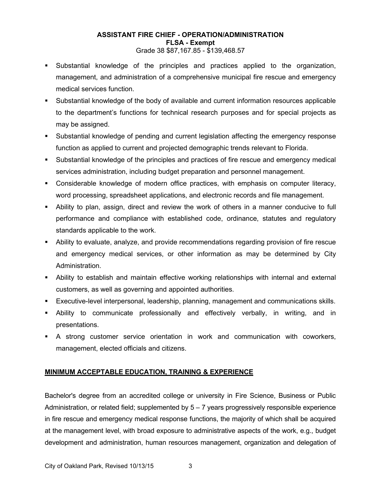# **ASSISTANT FIRE CHIEF - OPERATION/ADMINISTRATION FLSA - Exempt**

- Grade 38 \$87,167.85 \$139,468.57
- Substantial knowledge of the principles and practices applied to the organization, management, and administration of a comprehensive municipal fire rescue and emergency medical services function.
- Substantial knowledge of the body of available and current information resources applicable to the department's functions for technical research purposes and for special projects as may be assigned.
- Substantial knowledge of pending and current legislation affecting the emergency response function as applied to current and projected demographic trends relevant to Florida.
- Substantial knowledge of the principles and practices of fire rescue and emergency medical services administration, including budget preparation and personnel management.
- Considerable knowledge of modern office practices, with emphasis on computer literacy, word processing, spreadsheet applications, and electronic records and file management.
- Ability to plan, assign, direct and review the work of others in a manner conducive to full performance and compliance with established code, ordinance, statutes and regulatory standards applicable to the work.
- Ability to evaluate, analyze, and provide recommendations regarding provision of fire rescue and emergency medical services, or other information as may be determined by City Administration.
- Ability to establish and maintain effective working relationships with internal and external customers, as well as governing and appointed authorities.
- Executive-level interpersonal, leadership, planning, management and communications skills.
- Ability to communicate professionally and effectively verbally, in writing, and in presentations.
- A strong customer service orientation in work and communication with coworkers, management, elected officials and citizens.

# **MINIMUM ACCEPTABLE EDUCATION, TRAINING & EXPERIENCE**

Bachelor's degree from an accredited college or university in Fire Science, Business or Public Administration, or related field; supplemented by  $5 - 7$  years progressively responsible experience in fire rescue and emergency medical response functions, the majority of which shall be acquired at the management level, with broad exposure to administrative aspects of the work, e.g., budget development and administration, human resources management, organization and delegation of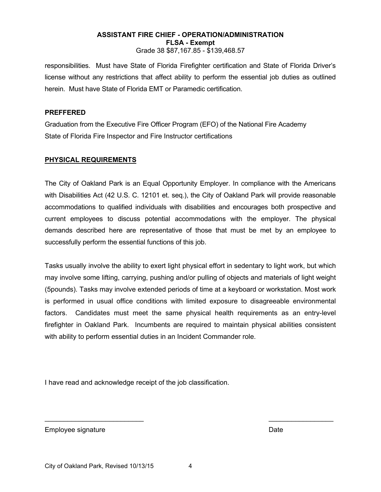responsibilities. Must have State of Florida Firefighter certification and State of Florida Driver's license without any restrictions that affect ability to perform the essential job duties as outlined herein. Must have State of Florida EMT or Paramedic certification.

## **PREFFERED**

Graduation from the Executive Fire Officer Program (EFO) of the National Fire Academy State of Florida Fire Inspector and Fire Instructor certifications

## **PHYSICAL REQUIREMENTS**

The City of Oakland Park is an Equal Opportunity Employer. In compliance with the Americans with Disabilities Act (42 U.S. C. 12101 et. seq.), the City of Oakland Park will provide reasonable accommodations to qualified individuals with disabilities and encourages both prospective and current employees to discuss potential accommodations with the employer. The physical demands described here are representative of those that must be met by an employee to successfully perform the essential functions of this job.

Tasks usually involve the ability to exert light physical effort in sedentary to light work, but which may involve some lifting, carrying, pushing and/or pulling of objects and materials of light weight (5pounds). Tasks may involve extended periods of time at a keyboard or workstation. Most work is performed in usual office conditions with limited exposure to disagreeable environmental factors. Candidates must meet the same physical health requirements as an entry-level firefighter in Oakland Park. Incumbents are required to maintain physical abilities consistent with ability to perform essential duties in an Incident Commander role.

I have read and acknowledge receipt of the job classification.

Employee signature **Date** Date of the Date of the Date of the Date of the Date of the Date of the Date of the Date of the Date of the Date of the Date of the Date of the Date of the Date of the Date of the Date of the Date

 $\overline{\phantom{a}}$  , and the contract of the contract of the contract of the contract of the contract of the contract of the contract of the contract of the contract of the contract of the contract of the contract of the contrac